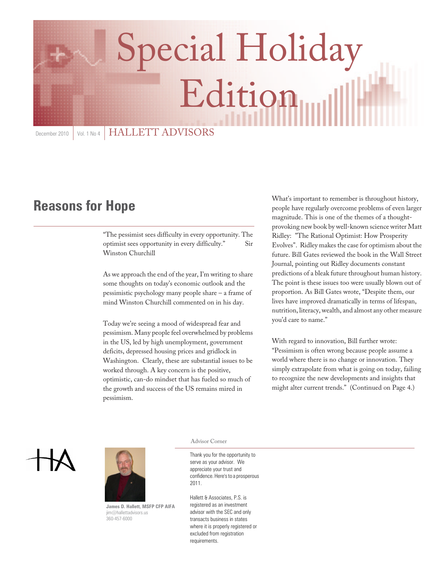# Special Holiday Edition

December 2010 | Vol. 1 No 4 | HALLETT ADVISORS

# **Reasons for Hope**

"The pessimist sees difficulty in every opportunity. The optimist sees opportunity in every difficulty." Sir Winston Churchill

As we approach the end of the year, I'm writing to share some thoughts on today's economic outlook and the pessimistic psychology many people share – a frame of mind Winston Churchill commented on in his day.

Today we're seeing a mood of widespread fear and pessimism. Many people feel overwhelmed by problems in the US, led by high unemployment, government deficits, depressed housing prices and gridlock in Washington. Clearly, these are substantial issues to be worked through. A key concern is the positive, optimistic, can-do mindset that has fueled so much of the growth and success of the US remains mired in pessimism.

What's important to remember is throughout history, people have regularly overcome problems of even larger magnitude. This is one of the themes of a thoughtprovoking new book by well-known science writer Matt Ridley: "The Rational Optimist: How Prosperity Evolves". Ridley makes the case for optimism about the future. Bill Gates reviewed the book in the Wall Street Journal, pointing out Ridley documents constant predictions of a bleak future throughout human history. The point is these issues too were usually blown out of proportion. As Bill Gates wrote, "Despite them, our lives have improved dramatically in terms of lifespan, nutrition, literacy, wealth, and almost any other measure you'd care to name."

With regard to innovation, Bill further wrote: "Pessimism is often wrong because people assume a world where there is no change or innovation. They simply extrapolate from what is going on today, failing to recognize the new developments and insights that might alter current trends." (Continued on Page 4.)





**James D. Hallett, MSFP CFP AIFA** jim@hallettadvisors.us 360-457-6000

Advisor Corner

Thank you for the opportunity to serve as your advisor. We appreciate your trust and confidence. Here's to a prosperous 2011.

Hallett & Associates, P.S. is registered as an investment advisor with the SEC and only transacts business in states where it is properly registered or excluded from registration requirements.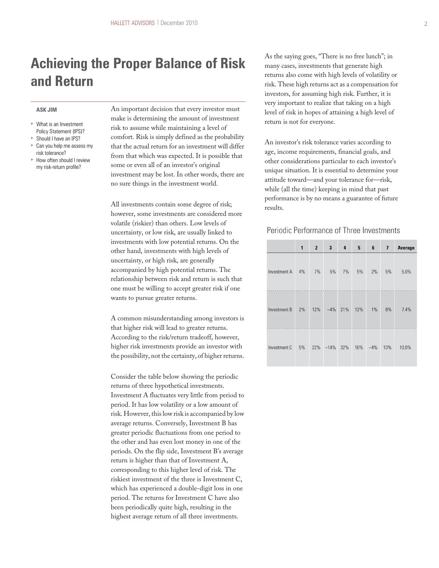# **Achieving the Proper Balance of Risk and Return**

#### **ASK JIM**

- What is an Investment Policy Statement (IPS)? **Should I have an IPS?**
- **Can you help me assess my**
- risk tolerance? **How often should I review** my risk-return profile?

An important decision that every investor must make is determining the amount of investment risk to assume while maintaining a level of comfort. Risk is simply defined as the probability that the actual return for an investment will differ from that which was expected. It is possible that some or even all of an investor's original investment may be lost. In other words, there are no sure things in the investment world.

All investments contain some degree of risk; however, some investments are considered more volatile (riskier) than others. Low levels of uncertainty, or low risk, are usually linked to investments with low potential returns. On the other hand, investments with high levels of uncertainty, or high risk, are generally accompanied by high potential returns. The relationship between risk and return is such that one must be willing to accept greater risk if one wants to pursue greater returns.

A common misunderstanding among investors is that higher risk will lead to greater returns. According to the risk/return tradeoff, however, higher risk investments provide an investor with the possibility, not the certainty, of higher returns.

Consider the table below showing the periodic returns of three hypothetical investments. Investment A fluctuates very little from period to period. It has low volatility or a low amount of risk. However, this low risk is accompanied by low average returns. Conversely, Investment B has greater periodic fluctuations from one period to the other and has even lost money in one of the periods. On the flip side, Investment B's average return is higher than that of Investment A, corresponding to this higher level of risk. The riskiest investment of the three is Investment C, which has experienced a double-digit loss in one period. The returns for Investment C have also been periodically quite high, resulting in the highest average return of all three investments.

As the saying goes, "There is no free lunch"; in many cases, investments that generate high returns also come with high levels of volatility or risk. These high returns act as a compensation for investors, for assuming high risk. Further, it is very important to realize that taking on a high level of risk in hopes of attaining a high level of return is not for everyone.

An investor's risk tolerance varies according to age, income requirements, financial goals, and other considerations particular to each investor's unique situation. It is essential to determine your attitude toward—and your tolerance for—risk, while (all the time) keeping in mind that past performance is by no means a guarantee of future results.

#### Periodic Performance of Three Investments

|              | 1  | $\overline{2}$ | 3           | 4          | 5   | 6     | $\overline{1}$ | Average |
|--------------|----|----------------|-------------|------------|-----|-------|----------------|---------|
| Investment A | 4% | 7%             | 5%          | 7%         | 5%  | 2%    | 5%             | 5.0%    |
| Investment B | 2% | 12%            |             | $-4\%$ 21% | 12% | $1\%$ | 8%             | 7.4%    |
| Investment C | 5% | 22%            | $-14\%$ 32% |            | 16% | $-4%$ | 13%            | 10.0%   |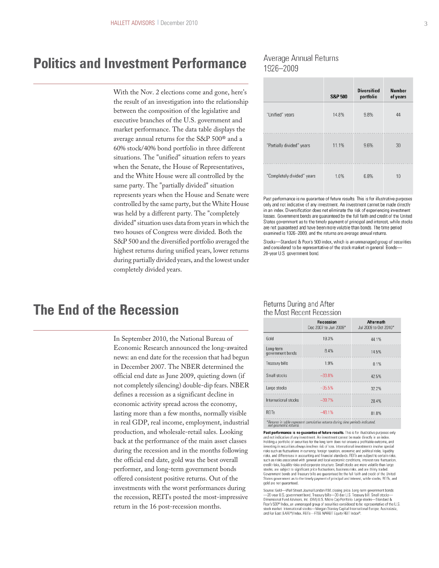## **Politics and Investment Performance**

With the Nov. 2 elections come and gone, here's the result of an investigation into the relationship between the composition of the legislative and executive branches of the U.S. government and market performance. The data table displays the average annual returns for the S&P 500® and a 60% stock/40% bond portfolio in three different situations. The "unified" situation refers to years when the Senate, the House of Representatives, and the White House were all controlled by the same party. The "partially divided" situation represents years when the House and Senate were controlled by the same party, but the White House was held by a different party. The "completely divided" situation uses data from years in which the two houses of Congress were divided. Both the S&P 500 and the diversified portfolio averaged the highest returns during unified years, lower returns during partially divided years, and the lowest under completely divided years.

### Average Annual Returns 1926-2009

|                            | <b>S&amp;P 500</b> | <b>Diversified</b><br>portfolio | <b>Number</b><br>of years |
|----------------------------|--------------------|---------------------------------|---------------------------|
| "Unified" years            | 14.8%              | 9.8%                            | 44                        |
| "Partially divided" years  | 11.1%              | 9.6%                            | 30                        |
| "Completely divided" years | 1.0%               | 6.8%                            | 10                        |

Past performance is no guarantee of future results. This is for illustrative purposes only and not indicative of any investment. An investment cannot be made directly in an index. Diversification does not eliminate the risk of experiencing investment losses. Government bonds are guaranteed by the full faith and credit of the United States government as to the timely payment of principal and interest, while stocks are not guaranteed and have been more volatile than bonds. The time period examined is 1926-2009, and the returns are average annual returns.

Stocks-Standard & Poor's 500 index, which is an unmanaged group of securities and considered to be representative of the stock market in general. Bonds-20-year U.S. government bond.

## **The End of the Recession**

In September 2010, the National Bureau of Economic Research announced the long-awaited news: an end date for the recession that had begun in December 2007. The NBER determined the official end date as June 2009, quieting down (if not completely silencing) double-dip fears. NBER defines a recession as a significant decline in economic activity spread across the economy, lasting more than a few months, normally visible in real GDP, real income, employment, industrial production, and wholesale-retail sales. Looking back at the performance of the main asset classes during the recession and in the months following the official end date, gold was the best overall performer, and long-term government bonds offered consistent positive returns. Out of the investments with the worst performances during the recession, REITs posted the most-impressive return in the 16 post-recession months.

#### Returns During and After the Most Recent Recession

|                               | <b>Recession</b><br>Dec 2007 to Jun 2009* | <b>Aftermath</b><br>Jul 2009 to Oct 2010* |
|-------------------------------|-------------------------------------------|-------------------------------------------|
| Gold                          | 19.3%                                     | 44.1%                                     |
| Long-term<br>government bonds | 8.4%                                      | 14.5%                                     |
| Treasury bills                | 1.9%                                      | 0.1%                                      |
| Small stocks                  | $-33.8%$                                  | 42.5%                                     |
| Large stocks                  | $-35.5%$                                  | 32.2%                                     |
| International stocks          | $-39.7%$                                  | 28.4%                                     |
| <b>REITs</b>                  | $-48.1%$                                  | 81.8%                                     |

\*Returns in table represent cumulative returns during time periods indicated,<br>not geometric returns.

Past performance is no guarantee of future results. This is for illustrative purposes only and not indicative of any investment. An investment cannot be made directly in an index.<br>Holding a portfolio of securities for the long term does not ensure a profitable outcome, and investing in securities always involves risk of loss. International investments involve special risks such as fluctuations in currency, foreign taxation, economic and political risks, liquidity risks, and differences in accounting and financial standards. REITs are subject to certain risks, such as risks associated with general and local economic conditions, interest rate fluctuation, credit risks, liquidity risk stocks, are subject to significant price fluctuations, business risks, and are thinly traded.<br>Government bonds and Treasury bills are guaranteed by the full faith and credit of the United States government as to the timely payment of principal and interest, while stocks, REITs, and gold are not guaranteed.

Source: Gold—Wall Street Journal London P.M. closing price. Long-term government bonds<br>—20-year U.S. government bond. Treasury bills—30-day U.S. Treasury bill. Small stocks— Dimensional Fund Advisors, Inc. (DFA) U.S. Micro Cap Portfolio. Large stocks-Standard & Poor's 500<sup>®</sup> Index, an unmanaged group of securities considered to be representative of the U.S. stock market. International stocks—Morgan Stanley Capital International Europe, Australasia, and Far East (EAFE®) Index. REITs—FTSE NAREIT Equity REIT Index®.